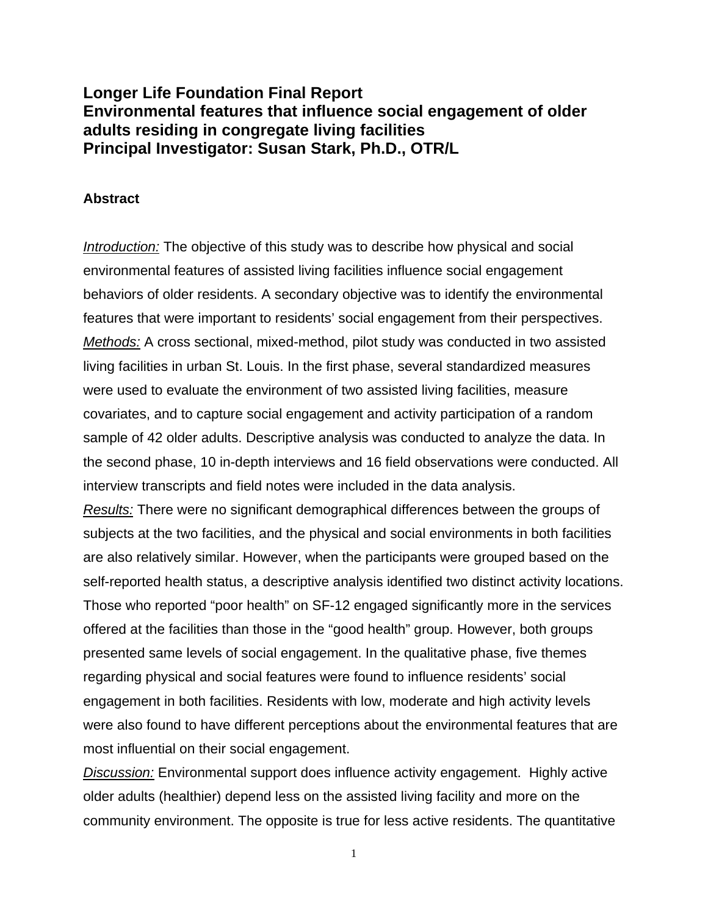# **Longer Life Foundation Final Report Environmental features that influence social engagement of older adults residing in congregate living facilities Principal Investigator: Susan Stark, Ph.D., OTR/L**

### **Abstract**

*Introduction:* The objective of this study was to describe how physical and social environmental features of assisted living facilities influence social engagement behaviors of older residents. A secondary objective was to identify the environmental features that were important to residents' social engagement from their perspectives. *Methods:* A cross sectional, mixed-method, pilot study was conducted in two assisted living facilities in urban St. Louis. In the first phase, several standardized measures were used to evaluate the environment of two assisted living facilities, measure covariates, and to capture social engagement and activity participation of a random sample of 42 older adults. Descriptive analysis was conducted to analyze the data. In the second phase, 10 in-depth interviews and 16 field observations were conducted. All interview transcripts and field notes were included in the data analysis.

*Results:* There were no significant demographical differences between the groups of subjects at the two facilities, and the physical and social environments in both facilities are also relatively similar. However, when the participants were grouped based on the self-reported health status, a descriptive analysis identified two distinct activity locations. Those who reported "poor health" on SF-12 engaged significantly more in the services offered at the facilities than those in the "good health" group. However, both groups presented same levels of social engagement. In the qualitative phase, five themes regarding physical and social features were found to influence residents' social engagement in both facilities. Residents with low, moderate and high activity levels were also found to have different perceptions about the environmental features that are most influential on their social engagement.

*Discussion:* Environmental support does influence activity engagement. Highly active older adults (healthier) depend less on the assisted living facility and more on the community environment. The opposite is true for less active residents. The quantitative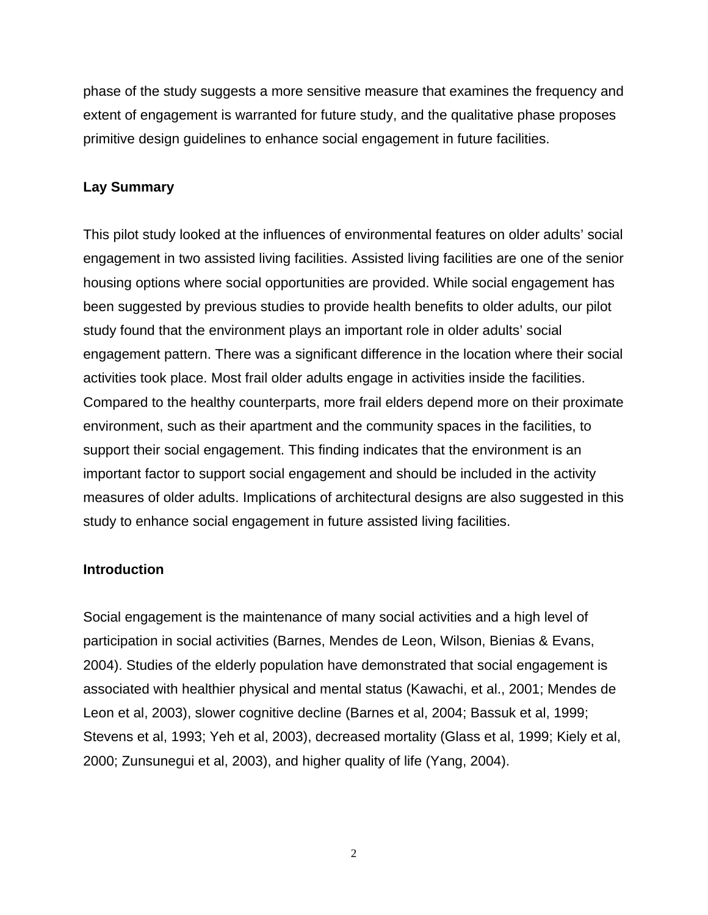phase of the study suggests a more sensitive measure that examines the frequency and extent of engagement is warranted for future study, and the qualitative phase proposes primitive design guidelines to enhance social engagement in future facilities.

# **Lay Summary**

This pilot study looked at the influences of environmental features on older adults' social engagement in two assisted living facilities. Assisted living facilities are one of the senior housing options where social opportunities are provided. While social engagement has been suggested by previous studies to provide health benefits to older adults, our pilot study found that the environment plays an important role in older adults' social engagement pattern. There was a significant difference in the location where their social activities took place. Most frail older adults engage in activities inside the facilities. Compared to the healthy counterparts, more frail elders depend more on their proximate environment, such as their apartment and the community spaces in the facilities, to support their social engagement. This finding indicates that the environment is an important factor to support social engagement and should be included in the activity measures of older adults. Implications of architectural designs are also suggested in this study to enhance social engagement in future assisted living facilities.

# **Introduction**

Social engagement is the maintenance of many social activities and a high level of participation in social activities (Barnes, Mendes de Leon, Wilson, Bienias & Evans, 2004). Studies of the elderly population have demonstrated that social engagement is associated with healthier physical and mental status (Kawachi, et al., 2001; Mendes de Leon et al, 2003), slower cognitive decline (Barnes et al, 2004; Bassuk et al, 1999; Stevens et al, 1993; Yeh et al, 2003), decreased mortality (Glass et al, 1999; Kiely et al, 2000; Zunsunegui et al, 2003), and higher quality of life (Yang, 2004).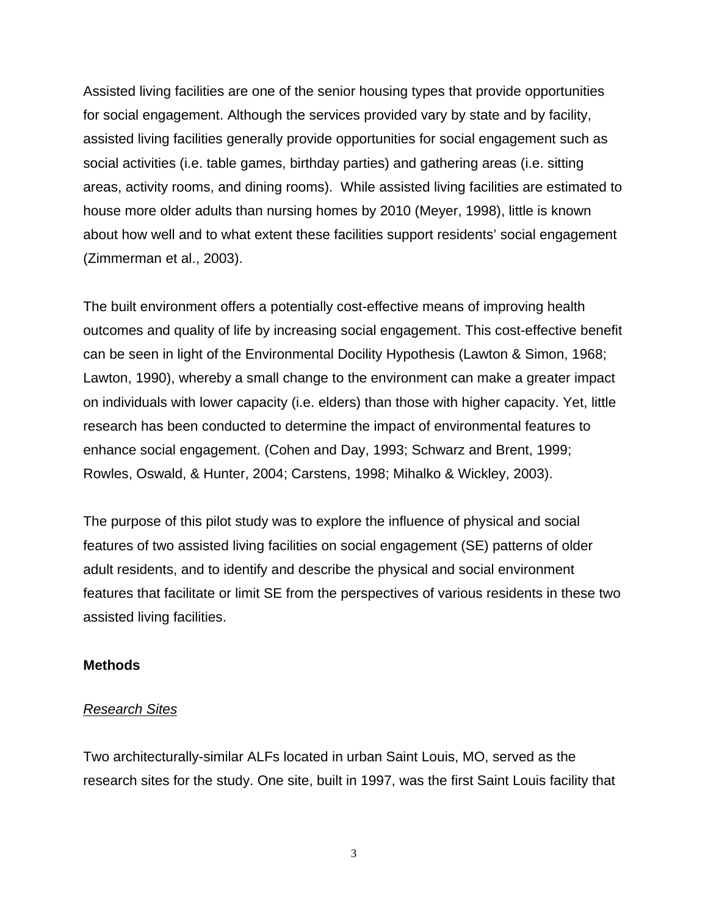Assisted living facilities are one of the senior housing types that provide opportunities for social engagement. Although the services provided vary by state and by facility, assisted living facilities generally provide opportunities for social engagement such as social activities (i.e. table games, birthday parties) and gathering areas (i.e. sitting areas, activity rooms, and dining rooms). While assisted living facilities are estimated to house more older adults than nursing homes by 2010 (Meyer, 1998), little is known about how well and to what extent these facilities support residents' social engagement (Zimmerman et al., 2003).

The built environment offers a potentially cost-effective means of improving health outcomes and quality of life by increasing social engagement. This cost-effective benefit can be seen in light of the Environmental Docility Hypothesis (Lawton & Simon, 1968; Lawton, 1990), whereby a small change to the environment can make a greater impact on individuals with lower capacity (i.e. elders) than those with higher capacity. Yet, little research has been conducted to determine the impact of environmental features to enhance social engagement. (Cohen and Day, 1993; Schwarz and Brent, 1999; Rowles, Oswald, & Hunter, 2004; Carstens, 1998; Mihalko & Wickley, 2003).

The purpose of this pilot study was to explore the influence of physical and social features of two assisted living facilities on social engagement (SE) patterns of older adult residents, and to identify and describe the physical and social environment features that facilitate or limit SE from the perspectives of various residents in these two assisted living facilities.

### **Methods**

#### *Research Sites*

Two architecturally-similar ALFs located in urban Saint Louis, MO, served as the research sites for the study. One site, built in 1997, was the first Saint Louis facility that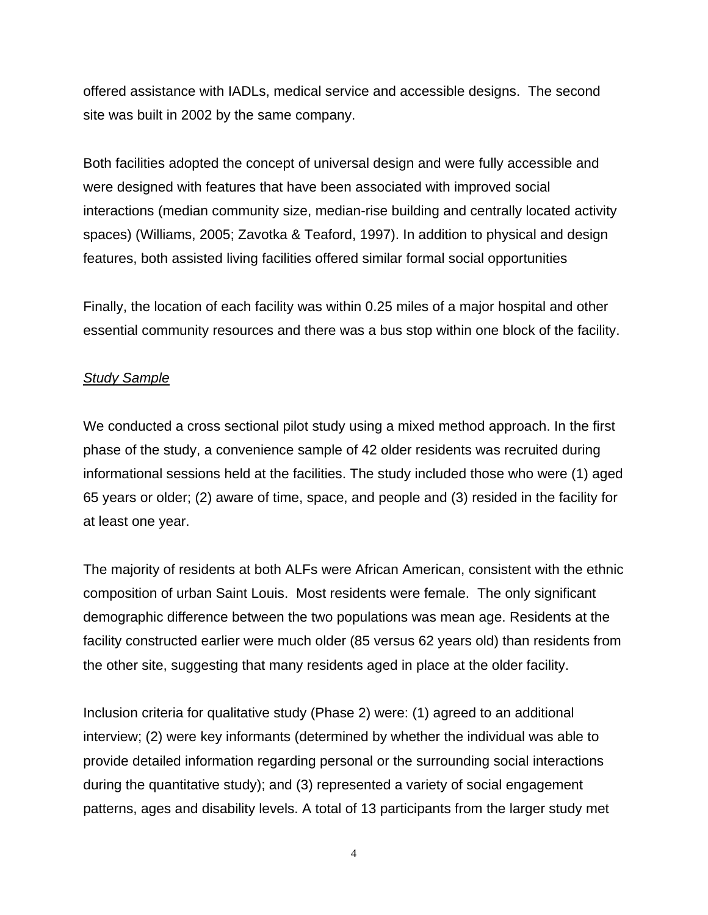offered assistance with IADLs, medical service and accessible designs. The second site was built in 2002 by the same company.

Both facilities adopted the concept of universal design and were fully accessible and were designed with features that have been associated with improved social interactions (median community size, median-rise building and centrally located activity spaces) (Williams, 2005; Zavotka & Teaford, 1997). In addition to physical and design features, both assisted living facilities offered similar formal social opportunities

Finally, the location of each facility was within 0.25 miles of a major hospital and other essential community resources and there was a bus stop within one block of the facility.

### *Study Sample*

We conducted a cross sectional pilot study using a mixed method approach. In the first phase of the study, a convenience sample of 42 older residents was recruited during informational sessions held at the facilities. The study included those who were (1) aged 65 years or older; (2) aware of time, space, and people and (3) resided in the facility for at least one year.

The majority of residents at both ALFs were African American, consistent with the ethnic composition of urban Saint Louis. Most residents were female. The only significant demographic difference between the two populations was mean age. Residents at the facility constructed earlier were much older (85 versus 62 years old) than residents from the other site, suggesting that many residents aged in place at the older facility.

Inclusion criteria for qualitative study (Phase 2) were: (1) agreed to an additional interview; (2) were key informants (determined by whether the individual was able to provide detailed information regarding personal or the surrounding social interactions during the quantitative study); and (3) represented a variety of social engagement patterns, ages and disability levels. A total of 13 participants from the larger study met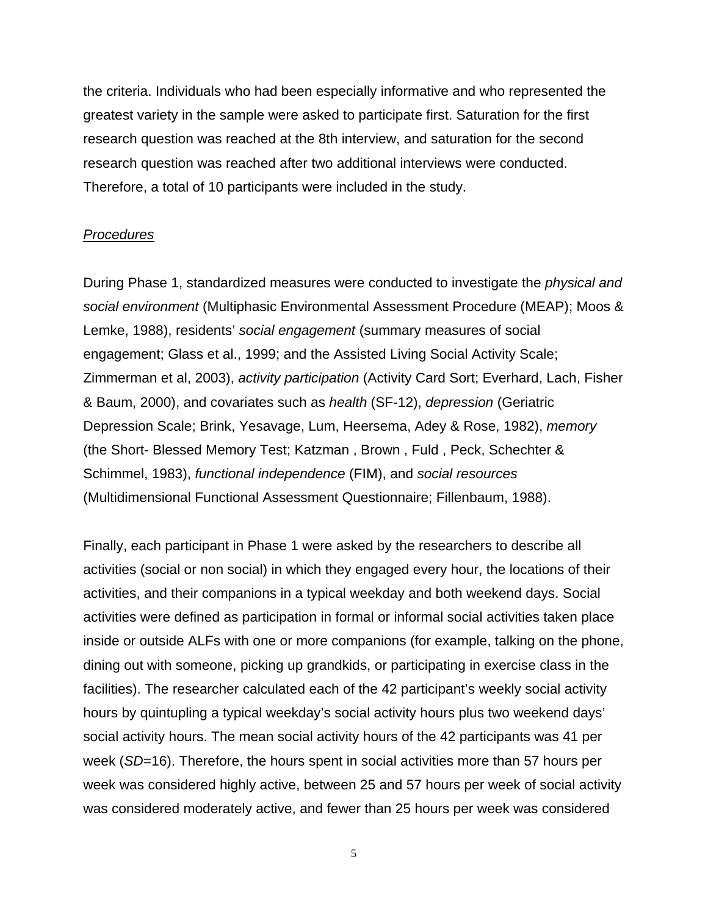the criteria. Individuals who had been especially informative and who represented the greatest variety in the sample were asked to participate first. Saturation for the first research question was reached at the 8th interview, and saturation for the second research question was reached after two additional interviews were conducted. Therefore, a total of 10 participants were included in the study.

### *Procedures*

During Phase 1, standardized measures were conducted to investigate the *physical and social environment* (Multiphasic Environmental Assessment Procedure (MEAP); Moos & Lemke, 1988), residents' *social engagement* (summary measures of social engagement; Glass et al., 1999; and the Assisted Living Social Activity Scale; Zimmerman et al, 2003), *activity participation* (Activity Card Sort; Everhard, Lach, Fisher & Baum, 2000), and covariates such as *health* (SF-12), *depression* (Geriatric Depression Scale; Brink, Yesavage, Lum, Heersema, Adey & Rose, 1982), *memory* (the Short- Blessed Memory Test; Katzman , Brown , Fuld , Peck, Schechter & Schimmel, 1983), *functional independence* (FIM), and *social resources* (Multidimensional Functional Assessment Questionnaire; Fillenbaum, 1988).

Finally, each participant in Phase 1 were asked by the researchers to describe all activities (social or non social) in which they engaged every hour, the locations of their activities, and their companions in a typical weekday and both weekend days. Social activities were defined as participation in formal or informal social activities taken place inside or outside ALFs with one or more companions (for example, talking on the phone, dining out with someone, picking up grandkids, or participating in exercise class in the facilities). The researcher calculated each of the 42 participant's weekly social activity hours by quintupling a typical weekday's social activity hours plus two weekend days' social activity hours. The mean social activity hours of the 42 participants was 41 per week (*SD*=16). Therefore, the hours spent in social activities more than 57 hours per week was considered highly active, between 25 and 57 hours per week of social activity was considered moderately active, and fewer than 25 hours per week was considered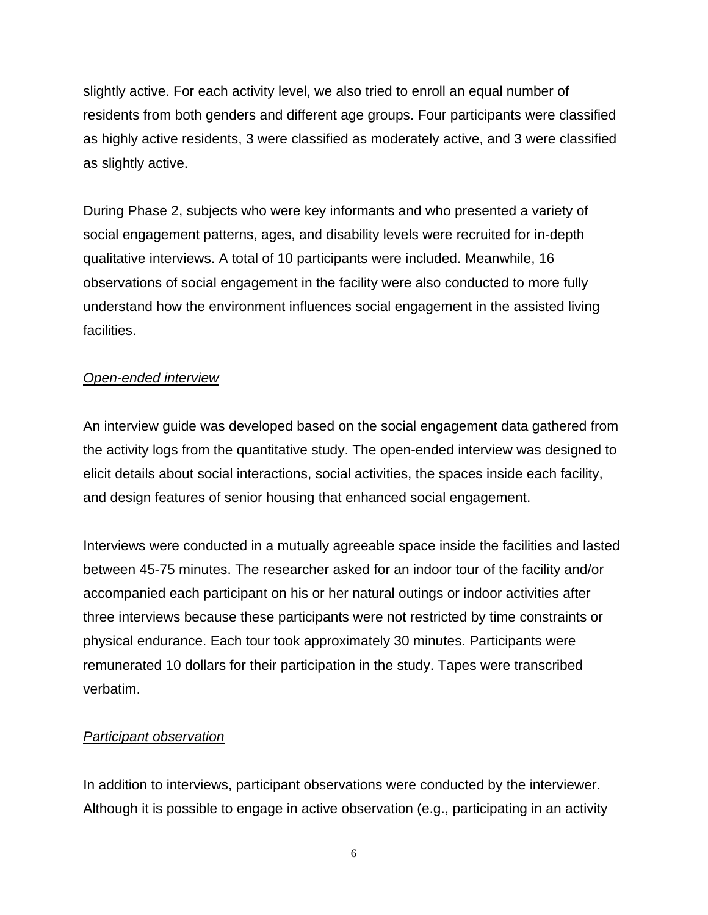slightly active. For each activity level, we also tried to enroll an equal number of residents from both genders and different age groups. Four participants were classified as highly active residents, 3 were classified as moderately active, and 3 were classified as slightly active.

During Phase 2, subjects who were key informants and who presented a variety of social engagement patterns, ages, and disability levels were recruited for in-depth qualitative interviews. A total of 10 participants were included. Meanwhile, 16 observations of social engagement in the facility were also conducted to more fully understand how the environment influences social engagement in the assisted living facilities.

# *Open-ended interview*

An interview guide was developed based on the social engagement data gathered from the activity logs from the quantitative study. The open-ended interview was designed to elicit details about social interactions, social activities, the spaces inside each facility, and design features of senior housing that enhanced social engagement.

Interviews were conducted in a mutually agreeable space inside the facilities and lasted between 45-75 minutes. The researcher asked for an indoor tour of the facility and/or accompanied each participant on his or her natural outings or indoor activities after three interviews because these participants were not restricted by time constraints or physical endurance. Each tour took approximately 30 minutes. Participants were remunerated 10 dollars for their participation in the study. Tapes were transcribed verbatim.

# *Participant observation*

In addition to interviews, participant observations were conducted by the interviewer. Although it is possible to engage in active observation (e.g., participating in an activity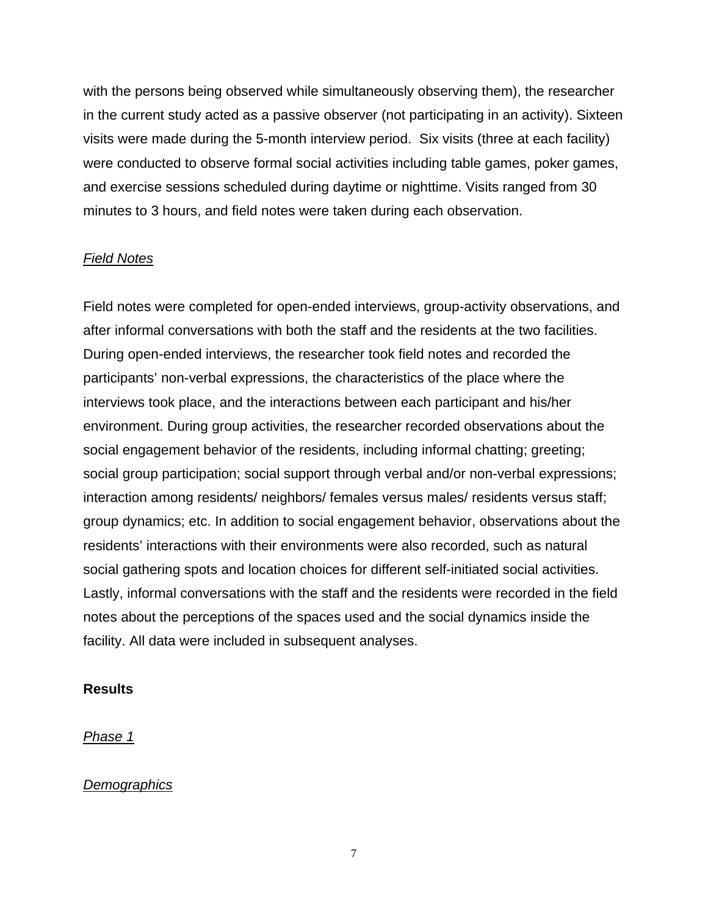with the persons being observed while simultaneously observing them), the researcher in the current study acted as a passive observer (not participating in an activity). Sixteen visits were made during the 5-month interview period. Six visits (three at each facility) were conducted to observe formal social activities including table games, poker games, and exercise sessions scheduled during daytime or nighttime. Visits ranged from 30 minutes to 3 hours, and field notes were taken during each observation.

# *Field Notes*

Field notes were completed for open-ended interviews, group-activity observations, and after informal conversations with both the staff and the residents at the two facilities. During open-ended interviews, the researcher took field notes and recorded the participants' non-verbal expressions, the characteristics of the place where the interviews took place, and the interactions between each participant and his/her environment. During group activities, the researcher recorded observations about the social engagement behavior of the residents, including informal chatting; greeting; social group participation; social support through verbal and/or non-verbal expressions; interaction among residents/ neighbors/ females versus males/ residents versus staff; group dynamics; etc. In addition to social engagement behavior, observations about the residents' interactions with their environments were also recorded, such as natural social gathering spots and location choices for different self-initiated social activities. Lastly, informal conversations with the staff and the residents were recorded in the field notes about the perceptions of the spaces used and the social dynamics inside the facility. All data were included in subsequent analyses.

### **Results**

### *Phase 1*

### *Demographics*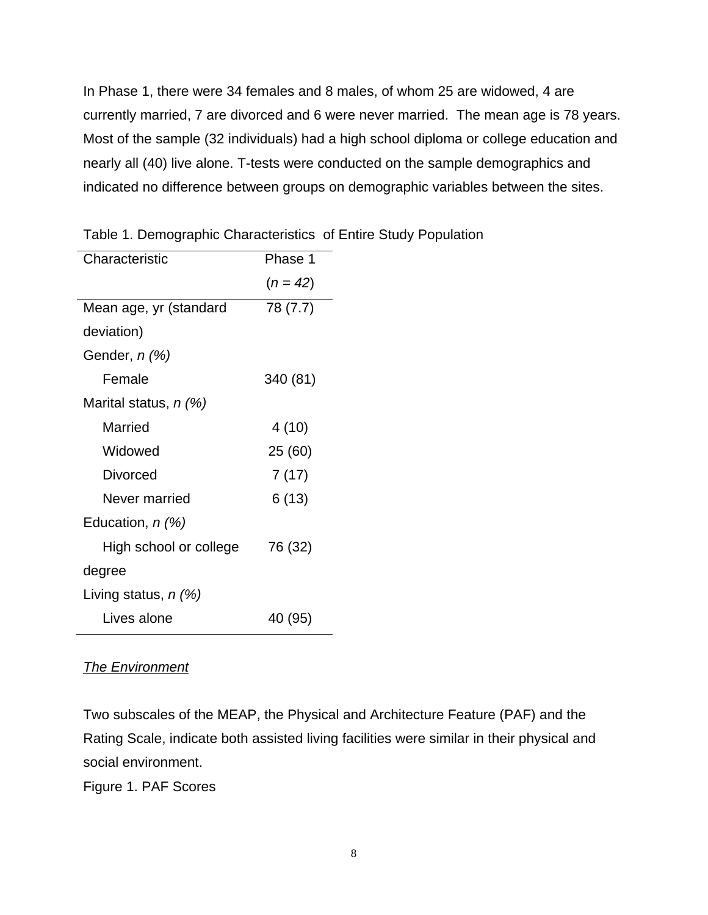In Phase 1, there were 34 females and 8 males, of whom 25 are widowed, 4 are currently married, 7 are divorced and 6 were never married. The mean age is 78 years. Most of the sample (32 individuals) had a high school diploma or college education and nearly all (40) live alone. T-tests were conducted on the sample demographics and indicated no difference between groups on demographic variables between the sites.

| $(n = 42)$ |
|------------|
| 78 (7.7)   |
|            |
|            |
| 340 (81)   |
|            |
| 4(10)      |
| 25 (60)    |
| 7(17)      |
| 6(13)      |
|            |
| 76 (32)    |
|            |
|            |
| 40 (95)    |
|            |

Table 1. Demographic Characteristics of Entire Study Population

# *The Environment*

Two subscales of the MEAP, the Physical and Architecture Feature (PAF) and the Rating Scale, indicate both assisted living facilities were similar in their physical and social environment.

Figure 1. PAF Scores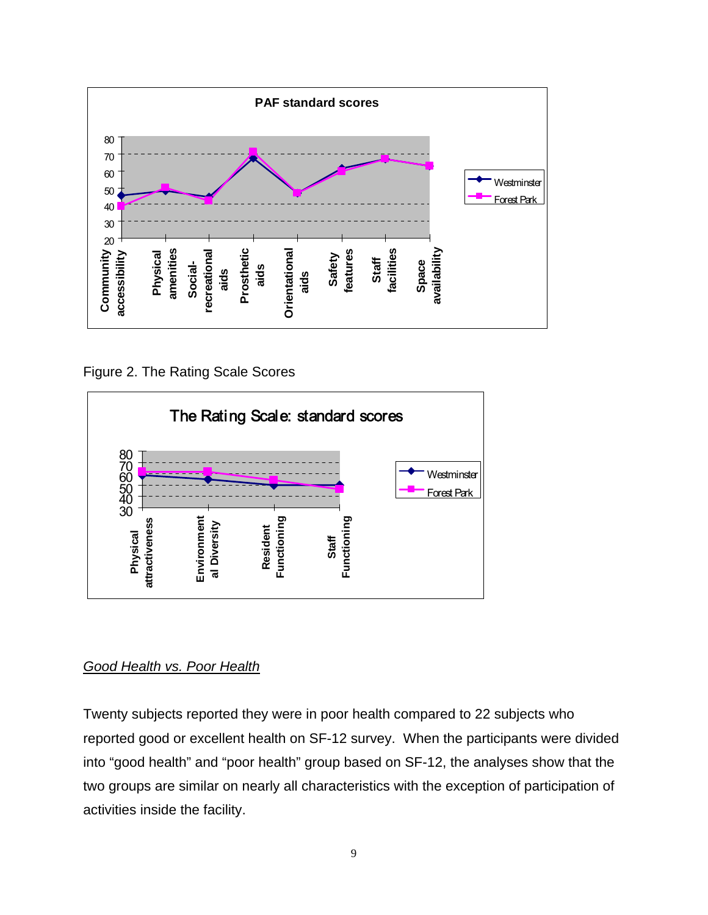

Figure 2. The Rating Scale Scores



# *Good Health vs. Poor Health*

Twenty subjects reported they were in poor health compared to 22 subjects who reported good or excellent health on SF-12 survey. When the participants were divided into "good health" and "poor health" group based on SF-12, the analyses show that the two groups are similar on nearly all characteristics with the exception of participation of activities inside the facility.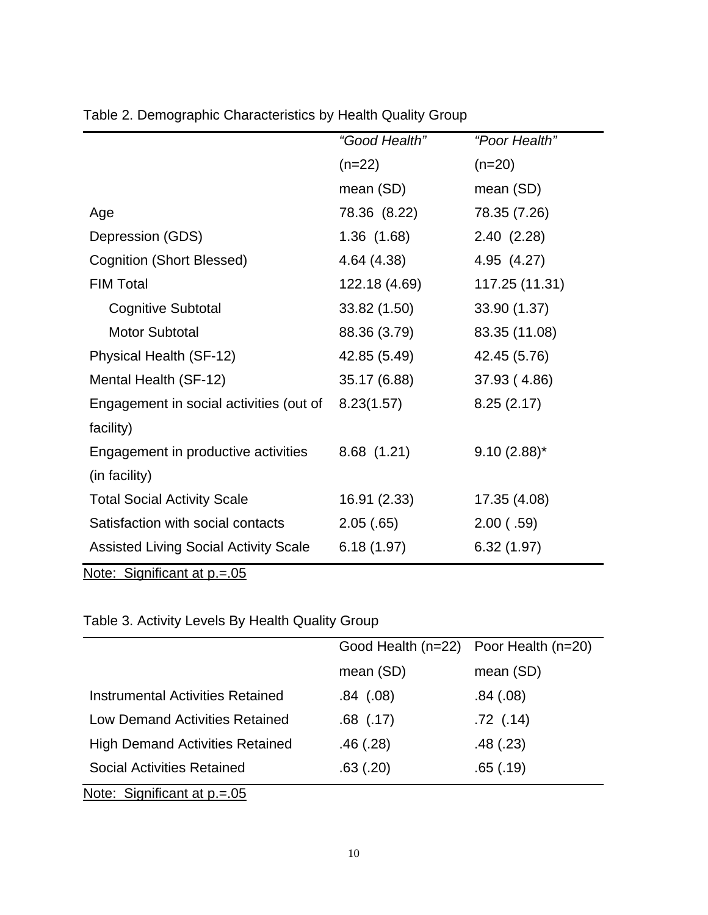|                                              | "Good Health" | "Poor Health"  |  |
|----------------------------------------------|---------------|----------------|--|
|                                              | $(n=22)$      | $(n=20)$       |  |
|                                              | mean (SD)     | mean (SD)      |  |
| Age                                          | 78.36 (8.22)  | 78.35 (7.26)   |  |
| Depression (GDS)                             | 1.36(1.68)    | 2.40(2.28)     |  |
| <b>Cognition (Short Blessed)</b>             | 4.64 (4.38)   | 4.95 (4.27)    |  |
| <b>FIM Total</b>                             | 122.18 (4.69) | 117.25 (11.31) |  |
| <b>Cognitive Subtotal</b>                    | 33.82 (1.50)  | 33.90 (1.37)   |  |
| <b>Motor Subtotal</b>                        | 88.36 (3.79)  | 83.35 (11.08)  |  |
| Physical Health (SF-12)                      | 42.85 (5.49)  | 42.45 (5.76)   |  |
| Mental Health (SF-12)                        | 35.17 (6.88)  | 37.93 (4.86)   |  |
| Engagement in social activities (out of      | 8.23(1.57)    | 8.25(2.17)     |  |
| facility)                                    |               |                |  |
| Engagement in productive activities          | 8.68(1.21)    | $9.10(2.88)$ * |  |
| (in facility)                                |               |                |  |
| <b>Total Social Activity Scale</b>           | 16.91 (2.33)  | 17.35 (4.08)   |  |
| Satisfaction with social contacts            | 2.05(.65)     | 2.00(0.59)     |  |
| <b>Assisted Living Social Activity Scale</b> | 6.18(1.97)    | 6.32(1.97)     |  |

Table 2. Demographic Characteristics by Health Quality Group

Note: Significant at p.=.05

# Table 3. Activity Levels By Health Quality Group

|                                        | Good Health (n=22) Poor Health (n=20) |               |
|----------------------------------------|---------------------------------------|---------------|
|                                        | mean (SD)                             | mean (SD)     |
| Instrumental Activities Retained       | .84(.08)                              | .84(.08)      |
| <b>Low Demand Activities Retained</b>  | $.68$ $(.17)$                         | $.72$ $(.14)$ |
| <b>High Demand Activities Retained</b> | .46(.28)                              | .48(.23)      |
| <b>Social Activities Retained</b>      | .63(.20)                              | .65(.19)      |
| Note: Significant at $p = 0.05$        |                                       |               |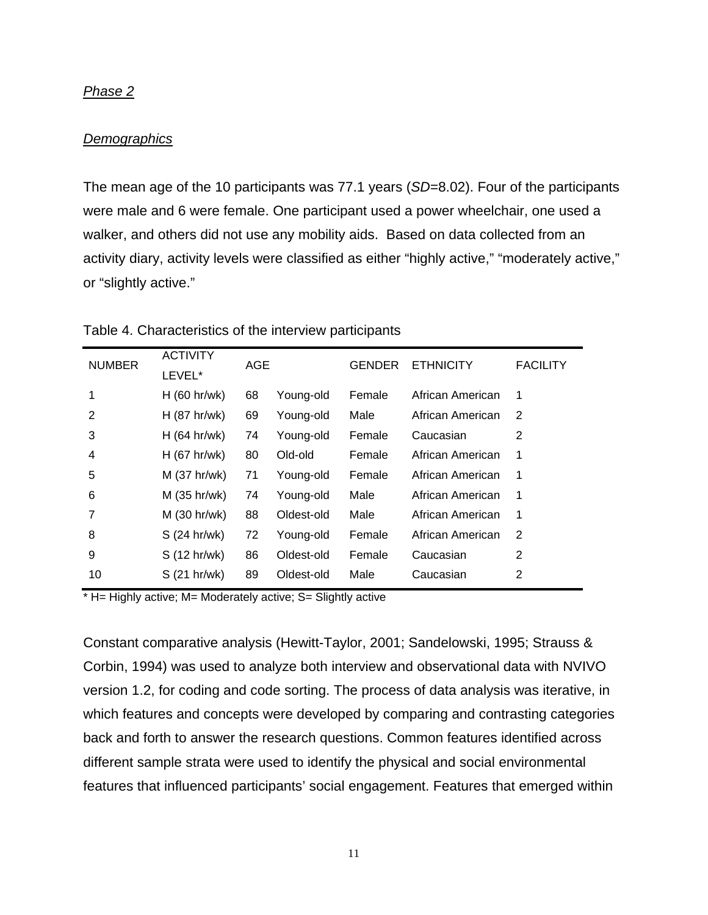#### *Phase 2*

#### *Demographics*

The mean age of the 10 participants was 77.1 years (*SD*=8.02). Four of the participants were male and 6 were female. One participant used a power wheelchair, one used a walker, and others did not use any mobility aids. Based on data collected from an activity diary, activity levels were classified as either "highly active," "moderately active," or "slightly active."

| <b>NUMBER</b> | <b>ACTIVITY</b><br>LEVEL* | AGE |            | <b>GENDER</b> | <b>ETHNICITY</b> | <b>FACILITY</b> |
|---------------|---------------------------|-----|------------|---------------|------------------|-----------------|
| 1             | $H$ (60 hr/wk)            | 68  | Young-old  | Female        | African American | 1               |
| 2             | $H$ (87 hr/wk)            | 69  | Young-old  | Male          | African American | 2               |
| 3             | $H$ (64 hr/wk)            | 74  | Young-old  | Female        | Caucasian        | 2               |
| 4             | $H$ (67 hr/wk)            | 80  | Old-old    | Female        | African American | 1               |
| 5             | $M$ (37 hr/wk)            | 71  | Young-old  | Female        | African American | 1               |
| 6             | M (35 hr/wk)              | 74  | Young-old  | Male          | African American | 1               |
| 7             | $M$ (30 hr/wk)            | 88  | Oldest-old | Male          | African American | 1               |
| 8             | S (24 hr/wk)              | 72  | Young-old  | Female        | African American | 2               |
| 9             | S (12 hr/wk)              | 86  | Oldest-old | Female        | Caucasian        | 2               |
| 10            | S (21 hr/wk)              | 89  | Oldest-old | Male          | Caucasian        | 2               |

Table 4. Characteristics of the interview participants

\* H= Highly active; M= Moderately active; S= Slightly active

Constant comparative analysis (Hewitt-Taylor, 2001; Sandelowski, 1995; Strauss & Corbin, 1994) was used to analyze both interview and observational data with NVIVO version 1.2, for coding and code sorting. The process of data analysis was iterative, in which features and concepts were developed by comparing and contrasting categories back and forth to answer the research questions. Common features identified across different sample strata were used to identify the physical and social environmental features that influenced participants' social engagement. Features that emerged within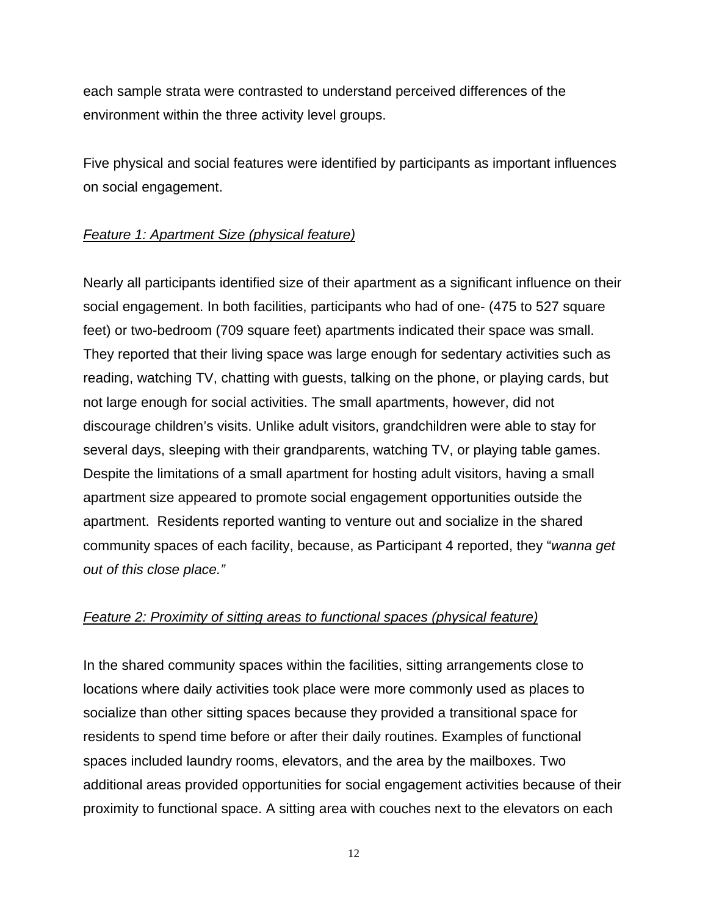each sample strata were contrasted to understand perceived differences of the environment within the three activity level groups.

Five physical and social features were identified by participants as important influences on social engagement.

# *Feature 1: Apartment Size (physical feature)*

Nearly all participants identified size of their apartment as a significant influence on their social engagement. In both facilities, participants who had of one- (475 to 527 square feet) or two-bedroom (709 square feet) apartments indicated their space was small. They reported that their living space was large enough for sedentary activities such as reading, watching TV, chatting with guests, talking on the phone, or playing cards, but not large enough for social activities. The small apartments, however, did not discourage children's visits. Unlike adult visitors, grandchildren were able to stay for several days, sleeping with their grandparents, watching TV, or playing table games. Despite the limitations of a small apartment for hosting adult visitors, having a small apartment size appeared to promote social engagement opportunities outside the apartment. Residents reported wanting to venture out and socialize in the shared community spaces of each facility, because, as Participant 4 reported, they "*wanna get out of this close place."* 

# *Feature 2: Proximity of sitting areas to functional spaces (physical feature)*

In the shared community spaces within the facilities, sitting arrangements close to locations where daily activities took place were more commonly used as places to socialize than other sitting spaces because they provided a transitional space for residents to spend time before or after their daily routines. Examples of functional spaces included laundry rooms, elevators, and the area by the mailboxes. Two additional areas provided opportunities for social engagement activities because of their proximity to functional space. A sitting area with couches next to the elevators on each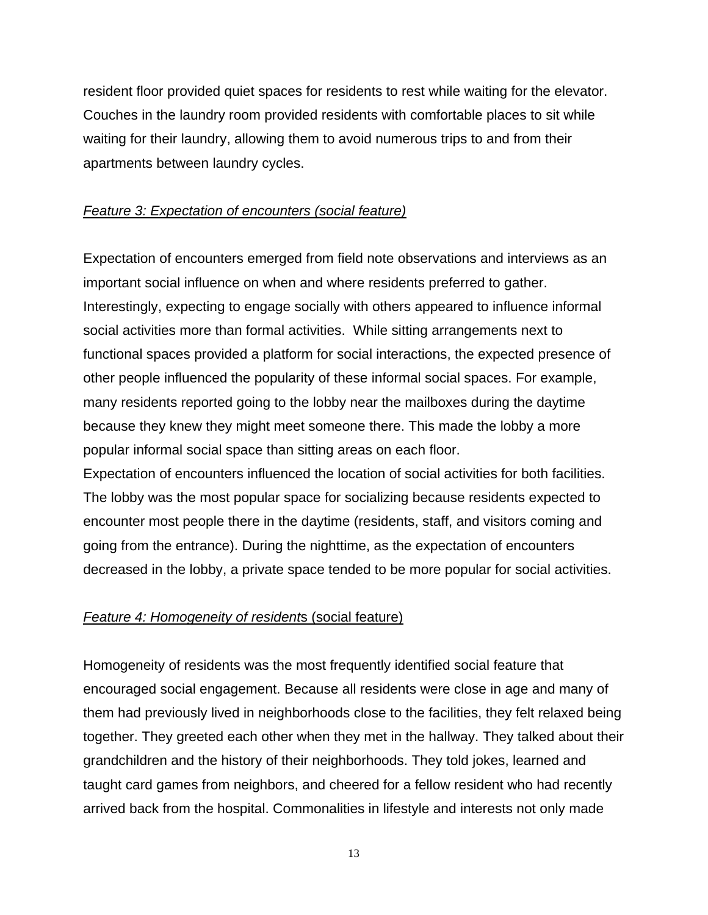resident floor provided quiet spaces for residents to rest while waiting for the elevator. Couches in the laundry room provided residents with comfortable places to sit while waiting for their laundry, allowing them to avoid numerous trips to and from their apartments between laundry cycles.

# *Feature 3: Expectation of encounters (social feature)*

Expectation of encounters emerged from field note observations and interviews as an important social influence on when and where residents preferred to gather. Interestingly, expecting to engage socially with others appeared to influence informal social activities more than formal activities. While sitting arrangements next to functional spaces provided a platform for social interactions, the expected presence of other people influenced the popularity of these informal social spaces. For example, many residents reported going to the lobby near the mailboxes during the daytime because they knew they might meet someone there. This made the lobby a more popular informal social space than sitting areas on each floor.

Expectation of encounters influenced the location of social activities for both facilities. The lobby was the most popular space for socializing because residents expected to encounter most people there in the daytime (residents, staff, and visitors coming and going from the entrance). During the nighttime, as the expectation of encounters decreased in the lobby, a private space tended to be more popular for social activities.

# *Feature 4: Homogeneity of resident*s (social feature)

Homogeneity of residents was the most frequently identified social feature that encouraged social engagement. Because all residents were close in age and many of them had previously lived in neighborhoods close to the facilities, they felt relaxed being together. They greeted each other when they met in the hallway. They talked about their grandchildren and the history of their neighborhoods. They told jokes, learned and taught card games from neighbors, and cheered for a fellow resident who had recently arrived back from the hospital. Commonalities in lifestyle and interests not only made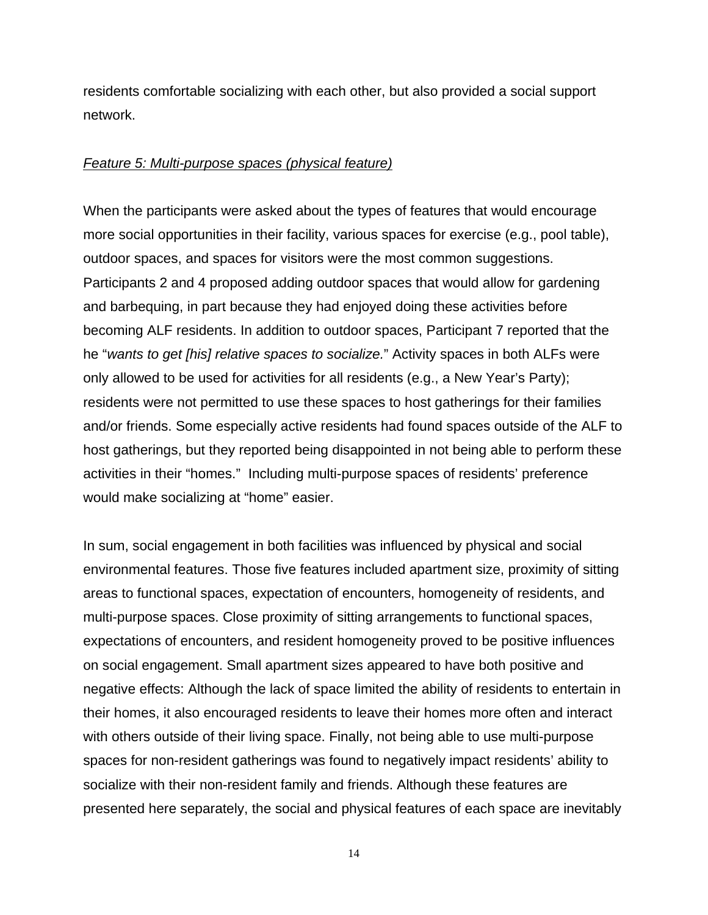residents comfortable socializing with each other, but also provided a social support network.

### *Feature 5: Multi-purpose spaces (physical feature)*

When the participants were asked about the types of features that would encourage more social opportunities in their facility, various spaces for exercise (e.g., pool table), outdoor spaces, and spaces for visitors were the most common suggestions. Participants 2 and 4 proposed adding outdoor spaces that would allow for gardening and barbequing, in part because they had enjoyed doing these activities before becoming ALF residents. In addition to outdoor spaces, Participant 7 reported that the he "*wants to get [his] relative spaces to socialize.*" Activity spaces in both ALFs were only allowed to be used for activities for all residents (e.g., a New Year's Party); residents were not permitted to use these spaces to host gatherings for their families and/or friends. Some especially active residents had found spaces outside of the ALF to host gatherings, but they reported being disappointed in not being able to perform these activities in their "homes." Including multi-purpose spaces of residents' preference would make socializing at "home" easier.

In sum, social engagement in both facilities was influenced by physical and social environmental features. Those five features included apartment size, proximity of sitting areas to functional spaces, expectation of encounters, homogeneity of residents, and multi-purpose spaces. Close proximity of sitting arrangements to functional spaces, expectations of encounters, and resident homogeneity proved to be positive influences on social engagement. Small apartment sizes appeared to have both positive and negative effects: Although the lack of space limited the ability of residents to entertain in their homes, it also encouraged residents to leave their homes more often and interact with others outside of their living space. Finally, not being able to use multi-purpose spaces for non-resident gatherings was found to negatively impact residents' ability to socialize with their non-resident family and friends. Although these features are presented here separately, the social and physical features of each space are inevitably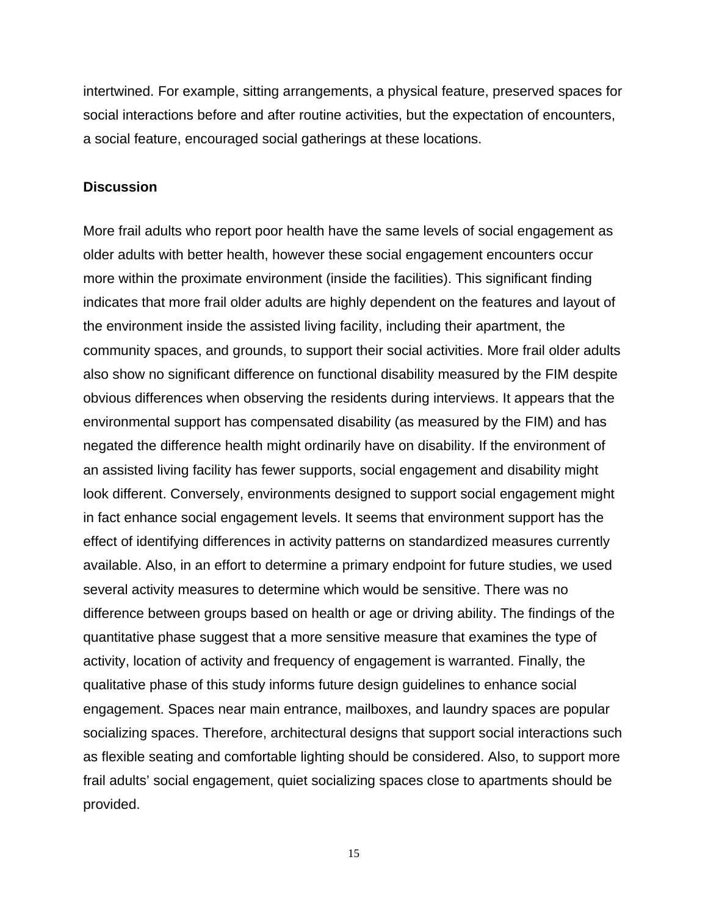intertwined. For example, sitting arrangements, a physical feature, preserved spaces for social interactions before and after routine activities, but the expectation of encounters, a social feature, encouraged social gatherings at these locations.

#### **Discussion**

More frail adults who report poor health have the same levels of social engagement as older adults with better health, however these social engagement encounters occur more within the proximate environment (inside the facilities). This significant finding indicates that more frail older adults are highly dependent on the features and layout of the environment inside the assisted living facility, including their apartment, the community spaces, and grounds, to support their social activities. More frail older adults also show no significant difference on functional disability measured by the FIM despite obvious differences when observing the residents during interviews. It appears that the environmental support has compensated disability (as measured by the FIM) and has negated the difference health might ordinarily have on disability. If the environment of an assisted living facility has fewer supports, social engagement and disability might look different. Conversely, environments designed to support social engagement might in fact enhance social engagement levels. It seems that environment support has the effect of identifying differences in activity patterns on standardized measures currently available. Also, in an effort to determine a primary endpoint for future studies, we used several activity measures to determine which would be sensitive. There was no difference between groups based on health or age or driving ability. The findings of the quantitative phase suggest that a more sensitive measure that examines the type of activity, location of activity and frequency of engagement is warranted. Finally, the qualitative phase of this study informs future design guidelines to enhance social engagement. Spaces near main entrance, mailboxes, and laundry spaces are popular socializing spaces. Therefore, architectural designs that support social interactions such as flexible seating and comfortable lighting should be considered. Also, to support more frail adults' social engagement, quiet socializing spaces close to apartments should be provided.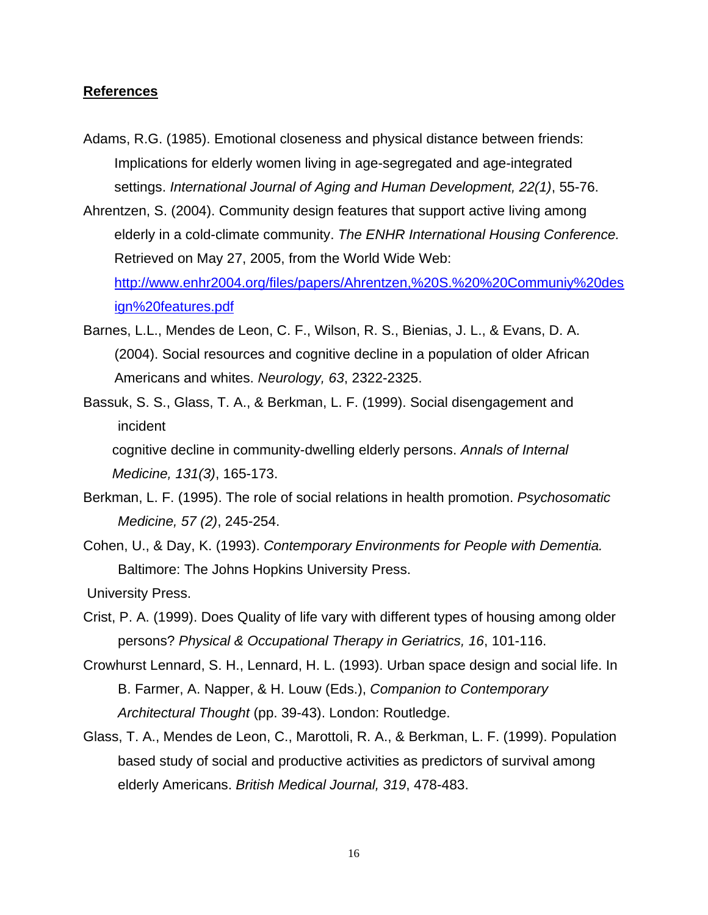#### **References**

- Adams, R.G. (1985). Emotional closeness and physical distance between friends: Implications for elderly women living in age-segregated and age-integrated settings. *International Journal of Aging and Human Development, 22(1)*, 55-76.
- Ahrentzen, S. (2004). Community design features that support active living among elderly in a cold-climate community. *The ENHR International Housing Conference.*  Retrieved on May 27, 2005, from the World Wide Web: [http://www.enhr2004.org/files/papers/Ahrentzen,%20S.%20%20Communiy%20des](http://www.enhr2004.org/files/papers/Ahrentzen,%20S.%20%20Communiy%20design%20features.pdf) [ign%20features.pdf](http://www.enhr2004.org/files/papers/Ahrentzen,%20S.%20%20Communiy%20design%20features.pdf)
- Barnes, L.L., Mendes de Leon, C. F., Wilson, R. S., Bienias, J. L., & Evans, D. A. (2004). Social resources and cognitive decline in a population of older African Americans and whites. *Neurology, 63*, 2322-2325.
- Bassuk, S. S., Glass, T. A., & Berkman, L. F. (1999). Social disengagement and incident cognitive decline in community-dwelling elderly persons. *Annals of Internal*

*Medicine, 131(3)*, 165-173.

- Berkman, L. F. (1995). The role of social relations in health promotion. *Psychosomatic Medicine, 57 (2)*, 245-254.
- Cohen, U., & Day, K. (1993). *Contemporary Environments for People with Dementia.* Baltimore: The Johns Hopkins University Press.

University Press.

- Crist, P. A. (1999). Does Quality of life vary with different types of housing among older persons? *Physical & Occupational Therapy in Geriatrics, 16*, 101-116.
- Crowhurst Lennard, S. H., Lennard, H. L. (1993). Urban space design and social life. In B. Farmer, A. Napper, & H. Louw (Eds.), *Companion to Contemporary Architectural Thought* (pp. 39-43). London: Routledge.
- Glass, T. A., Mendes de Leon, C., Marottoli, R. A., & Berkman, L. F. (1999). Population based study of social and productive activities as predictors of survival among elderly Americans. *British Medical Journal, 319*, 478-483.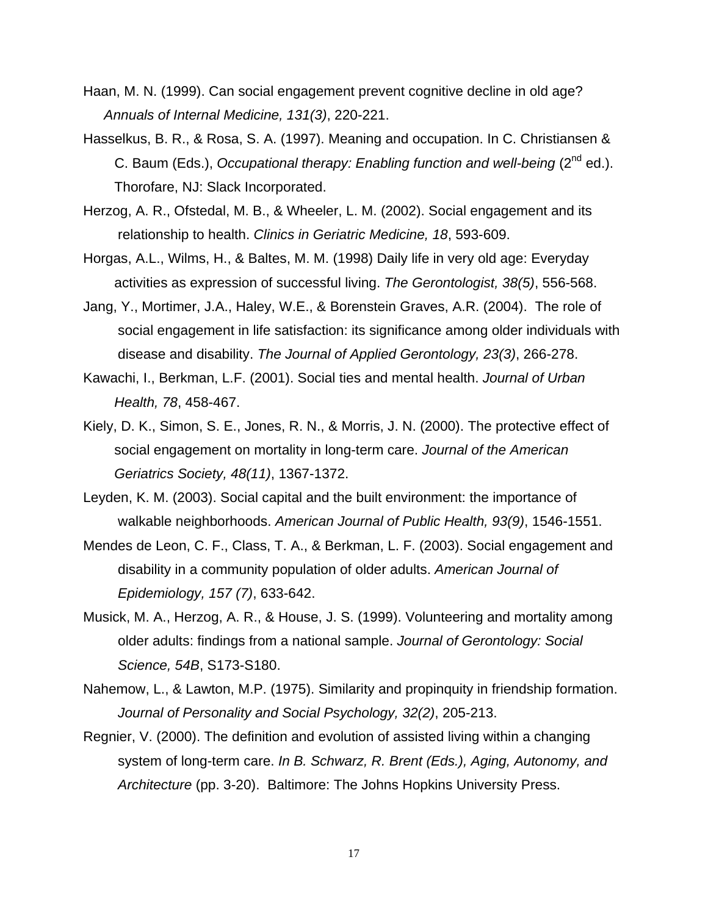- Haan, M. N. (1999). Can social engagement prevent cognitive decline in old age? *Annuals of Internal Medicine, 131(3)*, 220-221.
- Hasselkus, B. R., & Rosa, S. A. (1997). Meaning and occupation. In C. Christiansen & C. Baum (Eds.), *Occupational therapy: Enabling function and well-being* (2nd ed.). Thorofare, NJ: Slack Incorporated.
- Herzog, A. R., Ofstedal, M. B., & Wheeler, L. M. (2002). Social engagement and its relationship to health. *Clinics in Geriatric Medicine, 18*, 593-609.
- Horgas, A.L., Wilms, H., & Baltes, M. M. (1998) Daily life in very old age: Everyday activities as expression of successful living. *The Gerontologist, 38(5)*, 556-568.
- Jang, Y., Mortimer, J.A., Haley, W.E., & Borenstein Graves, A.R. (2004). The role of social engagement in life satisfaction: its significance among older individuals with disease and disability. *The Journal of Applied Gerontology, 23(3)*, 266-278.
- Kawachi, I., Berkman, L.F. (2001). Social ties and mental health. *Journal of Urban Health, 78*, 458-467.
- Kiely, D. K., Simon, S. E., Jones, R. N., & Morris, J. N. (2000). The protective effect of social engagement on mortality in long-term care. *Journal of the American Geriatrics Society, 48(11)*, 1367-1372.
- Leyden, K. M. (2003). Social capital and the built environment: the importance of walkable neighborhoods. *American Journal of Public Health, 93(9)*, 1546-1551.
- Mendes de Leon, C. F., Class, T. A., & Berkman, L. F. (2003). Social engagement and disability in a community population of older adults. *American Journal of Epidemiology, 157 (7)*, 633-642.
- Musick, M. A., Herzog, A. R., & House, J. S. (1999). Volunteering and mortality among older adults: findings from a national sample. *Journal of Gerontology: Social Science, 54B*, S173-S180.
- Nahemow, L., & Lawton, M.P. (1975). Similarity and propinquity in friendship formation. *Journal of Personality and Social Psychology, 32(2)*, 205-213.
- Regnier, V. (2000). The definition and evolution of assisted living within a changing system of long-term care. *In B. Schwarz, R. Brent (Eds.), Aging, Autonomy, and Architecture* (pp. 3-20). Baltimore: The Johns Hopkins University Press.